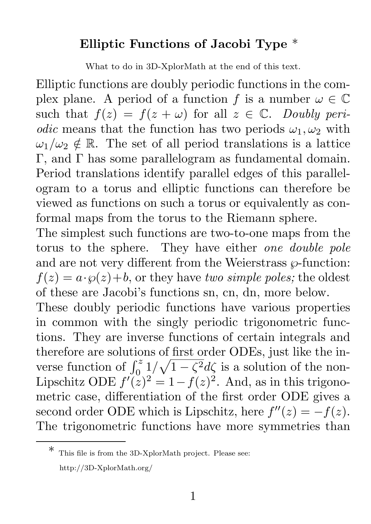## Elliptic Functions of Jacobi Type \*

What to do in 3D-XplorMath at the end of this text.

Elliptic functions are doubly periodic functions in the complex plane. A period of a function f is a number  $\omega \in \mathbb{C}$ such that  $f(z) = f(z + \omega)$  for all  $z \in \mathbb{C}$ . *Doubly periodic* means that the function has two periods  $\omega_1, \omega_2$  with  $\omega_1/\omega_2 \notin \mathbb{R}$ . The set of all period translations is a lattice Γ, and Γ has some parallelogram as fundamental domain. Period translations identify parallel edges of this parallelogram to a torus and elliptic functions can therefore be viewed as functions on such a torus or equivalently as conformal maps from the torus to the Riemann sphere.

The simplest such functions are two-to-one maps from the torus to the sphere. They have either *one double pole* and are not very different from the Weierstrass  $\wp$ -function:  $f(z) = a \cdot \wp(z) + b$ , or they have *two simple poles;* the oldest of these are Jacobi's functions sn, cn, dn, more below.

These doubly periodic functions have various properties in common with the singly periodic trigonometric functions. They are inverse functions of certain integrals and therefore are solutions of first order ODEs, just like the inverse function of  $\int_0^z 1/\sqrt{1-\zeta^2}d\zeta$  is a solution of the non-Lipschitz ODE  $f'(\tilde{z})^2 = 1 - f(z)^2$ . And, as in this trigonometric case, differentiation of the first order ODE gives a second order ODE which is Lipschitz, here  $f''(z) = -f(z)$ . The trigonometric functions have more symmetries than

<sup>\*</sup> This file is from the 3D-XplorMath project. Please see: http://3D-XplorMath.org/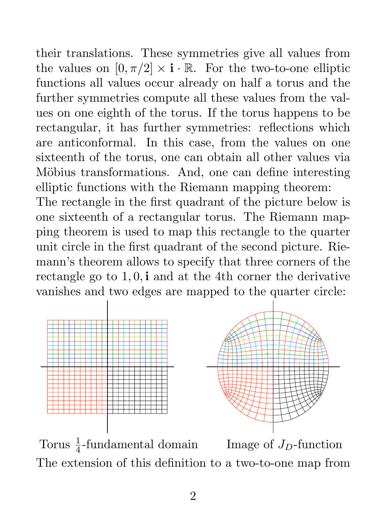their translations. These symmetries give all values from the values on  $[0, \pi/2] \times \mathbf{i} \cdot \mathbb{R}$ . For the two-to-one elliptic functions all values occur already on half a torus and the further symmetries compute all these values from the values on one eighth of the torus. If the torus happens to be rectangular, it has further symmetries: reflections which are anticonformal. In this case, from the values on one sixteenth of the torus, one can obtain all other values via Möbius transformations. And, one can define interesting elliptic functions with the Riemann mapping theorem:

The rectangle in the first quadrant of the picture below is one sixteenth of a rectangular torus. The Riemann mapping theorem is used to map this rectangle to the quarter unit circle in the first quadrant of the second picture. Riemann's theorem allows to specify that three corners of the rectangle go to  $1, 0$ , i and at the 4th corner the derivative vanishes and two edges are mapped to the quarter circle:



Torus  $\frac{1}{4}$ -fundamental domain Image of  $J_D$ -function The extension of this definition to a two-to-one map from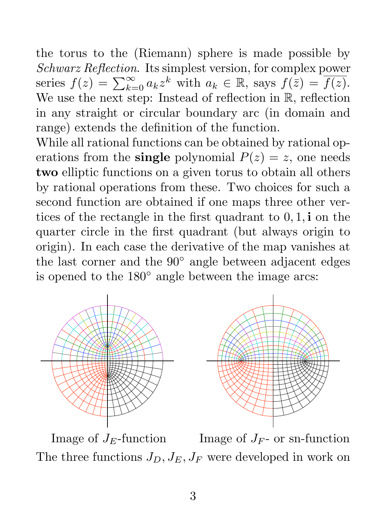the torus to the (Riemann) sphere is made possible by *Schwarz Reflection*. Its simplest version, for complex power series  $f(z) = \sum_{k=0}^{\infty} a_k z^k$  with  $a_k \in \mathbb{R}$ , says  $f(\bar{z}) = \overline{f(z)}$ . We use the next step: Instead of reflection in  $\mathbb{R}$ , reflection in any straight or circular boundary arc (in domain and range) extends the definition of the function.

While all rational functions can be obtained by rational operations from the **single** polynomial  $P(z) = z$ , one needs two elliptic functions on a given torus to obtain all others by rational operations from these. Two choices for such a second function are obtained if one maps three other vertices of the rectangle in the first quadrant to 0, 1, i on the quarter circle in the first quadrant (but always origin to origin). In each case the derivative of the map vanishes at the last corner and the 90◦ angle between adjacent edges is opened to the 180◦ angle between the image arcs:





Image of  $J_F$ -function Image of  $J_F$ - or sn-function The three functions  $J_D, J_E, J_F$  were developed in work on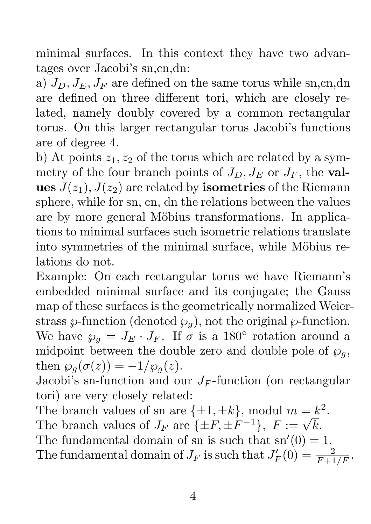minimal surfaces. In this context they have two advantages over Jacobi's sn,cn,dn:

a)  $J_D$ ,  $J_E$ ,  $J_F$  are defined on the same torus while sn,cn,dn are defined on three different tori, which are closely related, namely doubly covered by a common rectangular torus. On this larger rectangular torus Jacobi's functions are of degree 4.

b) At points  $z_1, z_2$  of the torus which are related by a symmetry of the four branch points of  $J_D$ ,  $J_E$  or  $J_F$ , the values  $J(z_1)$ ,  $J(z_2)$  are related by **isometries** of the Riemann sphere, while for sn, cn, dn the relations between the values are by more general Möbius transformations. In applications to minimal surfaces such isometric relations translate into symmetries of the minimal surface, while Möbius relations do not.

Example: On each rectangular torus we have Riemann's embedded minimal surface and its conjugate; the Gauss map of these surfaces is the geometrically normalized Weierstrass  $\wp$ -function (denoted  $\wp_q$ ), not the original  $\wp$ -function. We have  $\wp_q = J_E \cdot J_F$ . If  $\sigma$  is a 180° rotation around a midpoint between the double zero and double pole of  $\wp_g$ , then  $\wp_q(\sigma(z)) = -1/\wp_q(z)$ .

Jacobi's sn-function and our  $J_F$ -function (on rectangular tori) are very closely related:

The branch values of sn are  $\{\pm 1, \pm k\}$ , modul  $m = k^2$ . The branch values of  $J_F$  are  $\{\pm F, \pm F^{-1}\}, F := \sqrt{k}$ . The fundamental domain of sn is such that  $sn'(0) = 1$ . The fundamental domain of  $J_F$  is such that  $J'_F(0) = \frac{2}{F+1/F}$ .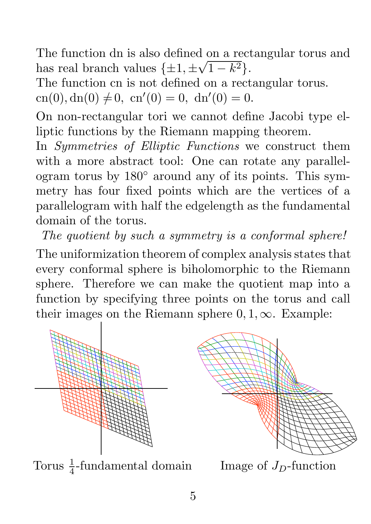The function dn is also defined on a rectangular torus and has real branch values  $\{\pm 1, \pm \sqrt{1-k^2}\}.$ 

The function cn is not defined on a rectangular torus.

 $cn(0), dn(0) \neq 0, cn'(0) = 0, dn'(0) = 0.$ 

On non-rectangular tori we cannot define Jacobi type elliptic functions by the Riemann mapping theorem.

In *Symmetries of Elliptic Functions* we construct them with a more abstract tool: One can rotate any parallelogram torus by 180◦ around any of its points. This symmetry has four fixed points which are the vertices of a parallelogram with half the edgelength as the fundamental domain of the torus.

*The quotient by such a symmetry is a conformal sphere!*

The uniformization theorem of complex analysis states that every conformal sphere is biholomorphic to the Riemann sphere. Therefore we can make the quotient map into a function by specifying three points on the torus and call their images on the Riemann sphere  $0, 1, \infty$ . Example:



Torus  $\frac{1}{4}$ -fundamental domain Image of  $J_D$ -function

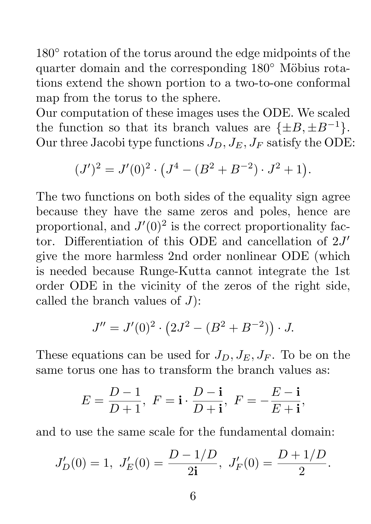180 $\degree$  rotation of the torus around the edge midpoints of the quarter domain and the corresponding  $180°$  Möbius rotations extend the shown portion to a two-to-one conformal map from the torus to the sphere.

Our computation of these images uses the ODE. We scaled the function so that its branch values are  $\{\pm B, \pm B^{-1}\}.$ Our three Jacobi type functions  $J_D$ ,  $J_E$ ,  $J_F$  satisfy the ODE:

$$
(J')^{2} = J'(0)^{2} \cdot (J^{4} - (B^{2} + B^{-2}) \cdot J^{2} + 1).
$$

The two functions on both sides of the equality sign agree because they have the same zeros and poles, hence are proportional, and  $J'(0)^2$  is the correct proportionality factor. Differentiation of this ODE and cancellation of  $2J'$ give the more harmless 2nd order nonlinear ODE (which is needed because Runge-Kutta cannot integrate the 1st order ODE in the vicinity of the zeros of the right side, called the branch values of  $J$ :

$$
J'' = J'(0)^2 \cdot (2J^2 - (B^2 + B^{-2})) \cdot J.
$$

These equations can be used for  $J_D$ ,  $J_E$ ,  $J_F$ . To be on the same torus one has to transform the branch values as:

$$
E = \frac{D-1}{D+1}, \ F = \mathbf{i} \cdot \frac{D-\mathbf{i}}{D+\mathbf{i}}, \ F = -\frac{E-\mathbf{i}}{E+\mathbf{i}},
$$

and to use the same scale for the fundamental domain:

$$
J'_D(0) = 1
$$
,  $J'_E(0) = \frac{D - 1/D}{2i}$ ,  $J'_F(0) = \frac{D + 1/D}{2}$ .